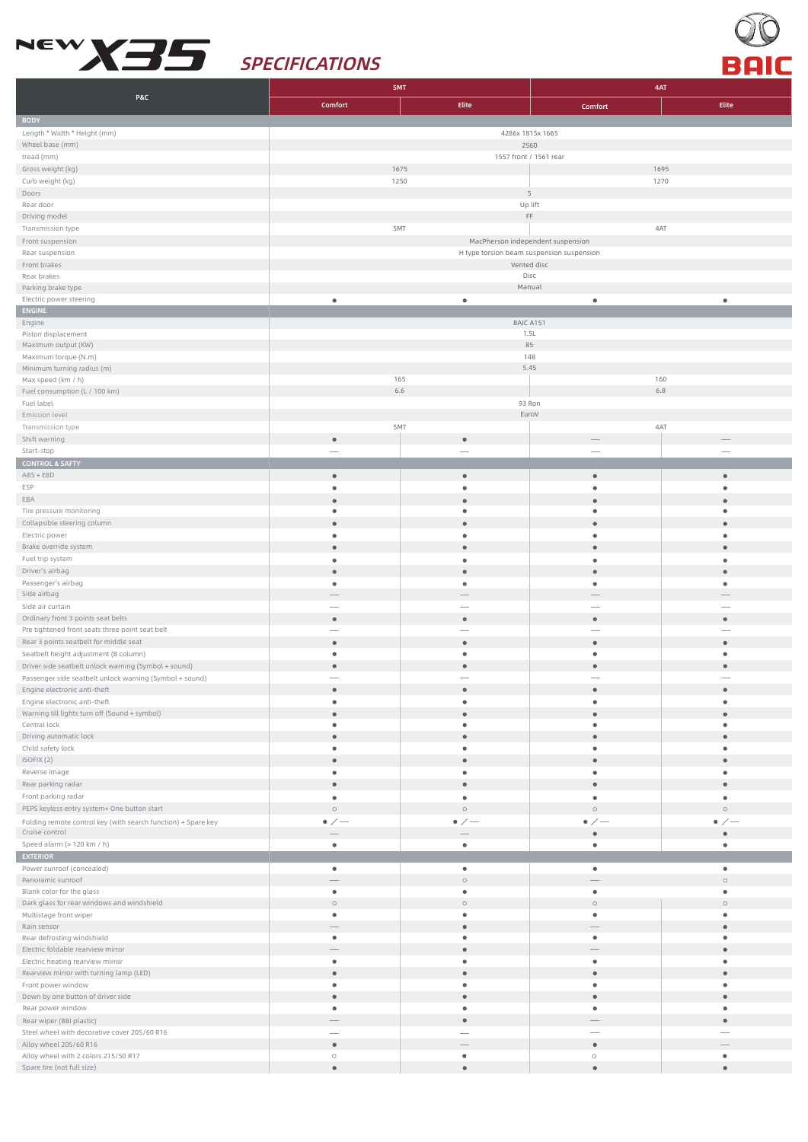



|                                                                                 | 5MT                                       |                         |                      | 4AT             |  |  |
|---------------------------------------------------------------------------------|-------------------------------------------|-------------------------|----------------------|-----------------|--|--|
| <b>P&amp;C</b>                                                                  | Comfort                                   | Elite                   | Comfort              | Elite           |  |  |
| <b>BODY</b>                                                                     |                                           |                         |                      |                 |  |  |
| Length * Width * Height (mm)                                                    | 4286x 1815x 1665                          |                         |                      |                 |  |  |
| Wheel base (mm)                                                                 |                                           | 2560                    |                      |                 |  |  |
| tread (mm)                                                                      | 1557 front / 1561 rear                    |                         |                      |                 |  |  |
| Gross weight (kg)                                                               | 1675                                      |                         |                      | 1695            |  |  |
| Curb weight (kg)                                                                | 1250                                      | $\overline{5}$          | 1270                 |                 |  |  |
| Doors<br>Rear door                                                              |                                           |                         |                      |                 |  |  |
| Driving model                                                                   | Up lift<br>$\mathsf{FF}$                  |                         |                      |                 |  |  |
| Transmission type                                                               | 5MT                                       |                         |                      | 4AT             |  |  |
| Front suspension                                                                | MacPherson independent suspension         |                         |                      |                 |  |  |
| Rear suspension                                                                 | H type torsion beam suspension suspension |                         |                      |                 |  |  |
| Front brakes                                                                    | Vented disc                               |                         |                      |                 |  |  |
| Rear brakes                                                                     |                                           | Disc<br>Manual          |                      |                 |  |  |
| Parking brake type<br>Electric power steering                                   | $\bullet$                                 | $\bullet$               | $\bullet$            |                 |  |  |
| <b>ENGINE</b>                                                                   |                                           |                         |                      |                 |  |  |
| Engine                                                                          |                                           | BAIC A151               |                      |                 |  |  |
| Piston displacement                                                             | 1.5L                                      |                         |                      |                 |  |  |
| Maximum output (KW)                                                             | 85                                        |                         |                      |                 |  |  |
| Maximum torque (N.m)<br>Minimum turning radius (m)                              |                                           | 5.45                    | 148                  |                 |  |  |
| Max speed (km / h)                                                              | 165                                       |                         |                      | 160             |  |  |
| Fuel consumption (L / 100 km)                                                   | 6.6<br>6.8                                |                         |                      |                 |  |  |
| Fuel label                                                                      |                                           | 93 Ron                  |                      |                 |  |  |
| Emission level                                                                  |                                           | EuroV                   |                      |                 |  |  |
| Transmission type                                                               | 5MT                                       |                         |                      | 4AT             |  |  |
| Shift warning                                                                   | $\bullet$                                 | $\bullet$               |                      |                 |  |  |
| Start-stop                                                                      |                                           |                         |                      |                 |  |  |
| <b>CONTROL &amp; SAFTY</b><br>$ABS + EBD$                                       | $\bullet$                                 | $\bullet$               | $\bullet$            |                 |  |  |
| ESP                                                                             | $\bullet$                                 | $\bullet$               | $\bullet$            |                 |  |  |
| EBA                                                                             |                                           | $\bullet$               |                      |                 |  |  |
| Tire pressure monitoring                                                        | ٠                                         | $\bullet$               | ٠                    |                 |  |  |
| Collapsible steering column                                                     | $\bullet$                                 | $\bullet$               | $\bullet$            | $\bullet$       |  |  |
| Electric power                                                                  | ٠                                         | $\bullet$               | $\bullet$            |                 |  |  |
| Brake override system                                                           |                                           | $\bullet$               | $\bullet$            |                 |  |  |
| Fuel trip system                                                                | ٠                                         | $\bullet$               | ٠                    |                 |  |  |
| Driver's airbag                                                                 |                                           | $\bullet$               | $\bullet$            |                 |  |  |
| Passenger's airbag<br>Side airbag                                               |                                           | ٠                       | $\bullet$            |                 |  |  |
| Side air curtain                                                                |                                           |                         |                      |                 |  |  |
| Ordinary front 3 points seat belts                                              | $\bullet$                                 | $\bullet$               | $\bullet$            | $\bullet$       |  |  |
| Pre tightened front seats three point seat belt                                 |                                           |                         |                      |                 |  |  |
| Rear 3 points seatbelt for middle seat                                          | $\bullet$                                 | $\bullet$               | $\bullet$            |                 |  |  |
| Seatbelt height adjustment (B column)                                           | ٠                                         | $\bullet$               | ٠                    | ٠               |  |  |
| Driver side seatbelt unlock warning (Symbol + sound)                            | $\bullet$                                 | $\qquad \qquad \bullet$ | $\bullet$            |                 |  |  |
| Passenger side seatbelt unlock warning (Symbol + sound)                         |                                           |                         |                      |                 |  |  |
| Engine electronic anti-theft                                                    |                                           |                         |                      |                 |  |  |
| Engine electronic anti-theft<br>Warning till lights turn off (Sound + symbol)   |                                           | $\bullet$               | $\bullet$            |                 |  |  |
| Central lock                                                                    | $\bullet$                                 | $\bullet$               | ٠                    | ٠               |  |  |
| Driving automatic lock                                                          | $\bullet$                                 | $\bullet$               | $\bullet$            |                 |  |  |
| Child safety lock                                                               | $\bullet$                                 | $\bullet$               | ٠                    | ٠               |  |  |
| ISOFIX (2)                                                                      | $\bullet$                                 | $\bullet$               | $\bullet$            | $\bullet$       |  |  |
| Reverse image                                                                   | $\bullet$                                 | $\bullet$               | ٠                    | ٠               |  |  |
| Rear parking radar                                                              | $\bullet$                                 | $\bullet$               | $\bullet$            | $\bullet$       |  |  |
| Front parking radar                                                             | $\bullet$<br>$\circ$                      | $\bullet$<br>$\circ$    | $\bullet$<br>$\circ$ | ٠<br>$\circ$    |  |  |
| PEPS keyless entry system+ One button start                                     | $\bullet$ / $-$                           | $\bullet$ / $-$         | $\bullet$ / $-$      | $\bullet$ / $-$ |  |  |
| Folding remote control key (with search function) + Spare key<br>Cruise control |                                           |                         | $\bullet$            | $\bullet$       |  |  |
| Speed alarm (> 120 km / h)                                                      | $\bullet$                                 | $\bullet$               | $\bullet$            | $\bullet$       |  |  |
| <b>EXTERIOR</b>                                                                 |                                           |                         |                      |                 |  |  |
| Power sunroof (concealed)                                                       | ٠                                         | ٠                       | ٠                    | ٠               |  |  |
| Panoramic sunroof                                                               |                                           | $\circ$                 |                      | $\circ$         |  |  |
| Blank color for the glass                                                       | $\bullet$                                 | $\bullet$               | $\bullet$            | $\bullet$       |  |  |
| Dark glass for rear windows and windshield                                      | $\circ$<br>٠                              | $\circ$<br>$\bullet$    | $\circ$<br>٠         | $\circ$<br>٠    |  |  |
| Multistage front wiper<br>Rain sensor                                           |                                           | $\bullet$               |                      | $\bullet$       |  |  |
| Rear defrosting windshield                                                      | ٠                                         | $\bullet$               | ٠                    | ٠               |  |  |
| Electric foldable rearview mirror                                               |                                           | $\bullet$               |                      |                 |  |  |
| Electric heating rearview mirror                                                | ٠                                         | $\bullet$               | ٠                    | ٠               |  |  |
| Rearview mirror with turning lamp (LED)                                         | $\bullet$                                 | $\bullet$               | $\bullet$            |                 |  |  |
| Front power window                                                              | $\bullet$                                 | $\bullet$               | $\bullet$            | ٠               |  |  |
| Down by one button of driver side                                               | $\bullet$                                 | $\bullet$               | $\bullet$            | $\bullet$       |  |  |
| Rear power window<br>Rear wiper (BBI plastic)                                   | ٠                                         | ٠<br>$\bullet$          | ٠                    | ۰<br>$\bullet$  |  |  |
| Steel wheel with decorative cover 205/60 R16                                    |                                           |                         |                      |                 |  |  |
| Alloy wheel 205/60 R16                                                          | $\bullet$                                 |                         | $\bullet$            |                 |  |  |
| Alloy wheel with 2 colors 215/50 R17                                            | $\circ$                                   | $\bullet$               | $\circ$              | ٠               |  |  |
| Spare tire (not full size)                                                      | $\bullet$                                 | $\bullet$               | $\bullet$            | $\bullet$       |  |  |